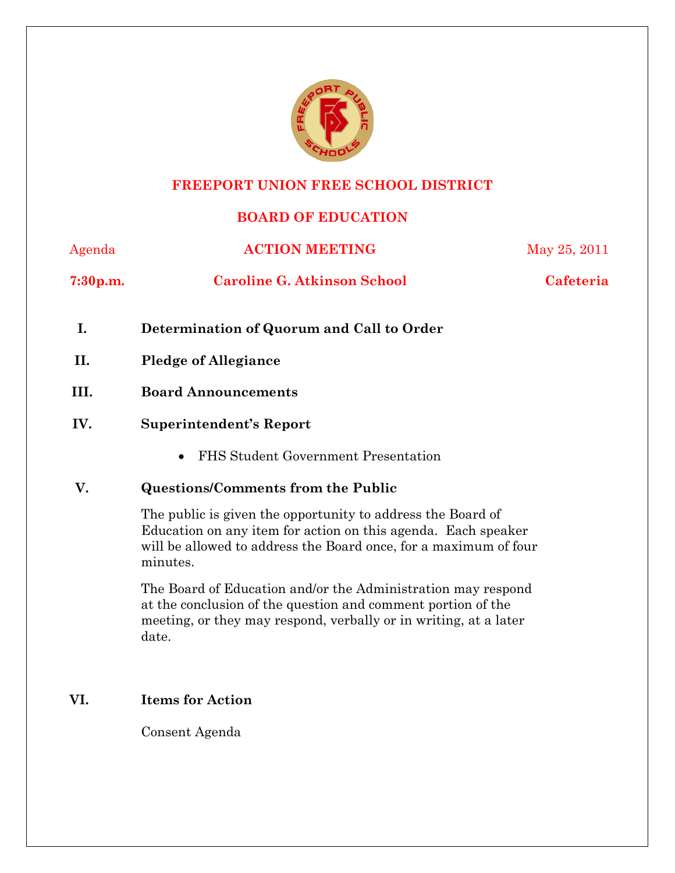

### **FREEPORT UNION FREE SCHOOL DISTRICT**

# **BOARD OF EDUCATION**

| Agenda               | <b>ACTION MEETING</b>                                                                                                                                                                                        | May 25, 2011     |
|----------------------|--------------------------------------------------------------------------------------------------------------------------------------------------------------------------------------------------------------|------------------|
| 7:30 <sub>p.m.</sub> | <b>Caroline G. Atkinson School</b>                                                                                                                                                                           | <b>Cafeteria</b> |
| I.                   | Determination of Quorum and Call to Order                                                                                                                                                                    |                  |
| II.                  | <b>Pledge of Allegiance</b>                                                                                                                                                                                  |                  |
| III.                 | <b>Board Announcements</b>                                                                                                                                                                                   |                  |
| IV.                  | Superintendent's Report                                                                                                                                                                                      |                  |
|                      | FHS Student Government Presentation<br>$\bullet$                                                                                                                                                             |                  |
| V.                   | <b>Questions/Comments from the Public</b>                                                                                                                                                                    |                  |
|                      | The public is given the opportunity to address the Board of<br>Education on any item for action on this agenda. Each speaker<br>will be allowed to address the Board once, for a maximum of four<br>minutes. |                  |

The Board of Education and/or the Administration may respond at the conclusion of the question and comment portion of the meeting, or they may respond, verbally or in writing, at a later date.

# **VI. Items for Action**

Consent Agenda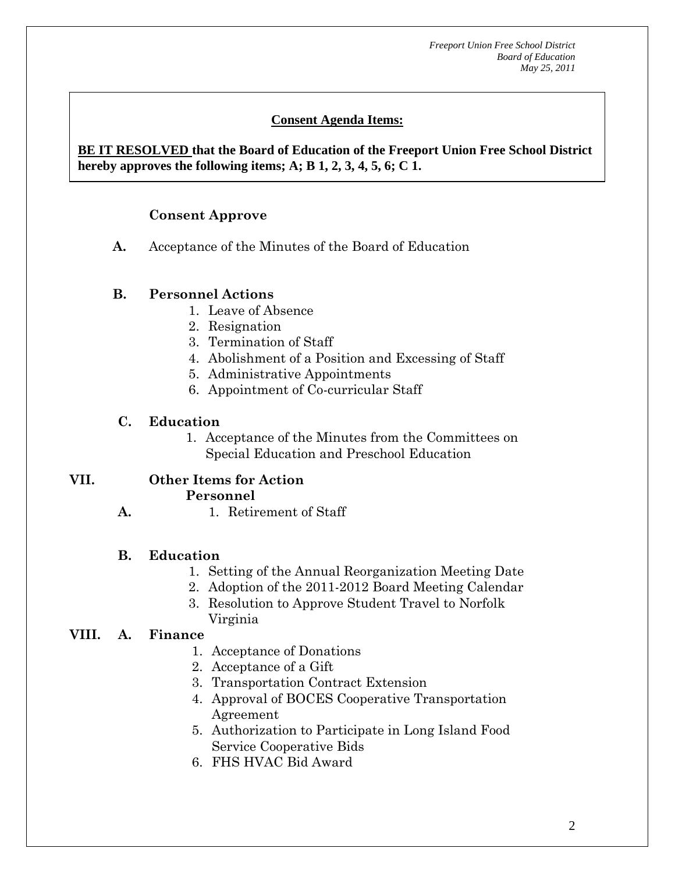# **Consent Agenda Items:**

#### *Acceptance of the Minutes*  $\mathbf{A}$ **BE IT RESOLVED that the Board of Education of the Freeport Union Free School District hereby approves the following items; A; B 1, 2, 3, 4, 5, 6; C 1.**

## **Consent Approve**

 **AA. Consent - Approve** 

**A.** Acceptance of the Minutes of the Board of Education

#### **B. Personnel Actions**

- 1. Leave of Absence
- 2. Resignation
- 3. Termination of Staff
- 4. Abolishment of a Position and Excessing of Staff
- 5. Administrative Appointments
- 6. Appointment of Co-curricular Staff

### **C. Education**

1. Acceptance of the Minutes from the Committees on Special Education and Preschool Education

#### **VII. Other Items for Action Personnel**

**A.**  1. Retirement of Staff

#### **B. Education**

- 1. Setting of the Annual Reorganization Meeting Date
- 2. Adoption of the 2011-2012 Board Meeting Calendar
- 3. Resolution to Approve Student Travel to Norfolk Virginia

# **VIII. A. Finance**

- 1. Acceptance of Donations
- 2. Acceptance of a Gift
- 3. Transportation Contract Extension
- 4. Approval of BOCES Cooperative Transportation Agreement
- 5. Authorization to Participate in Long Island Food Service Cooperative Bids
- 6. FHS HVAC Bid Award